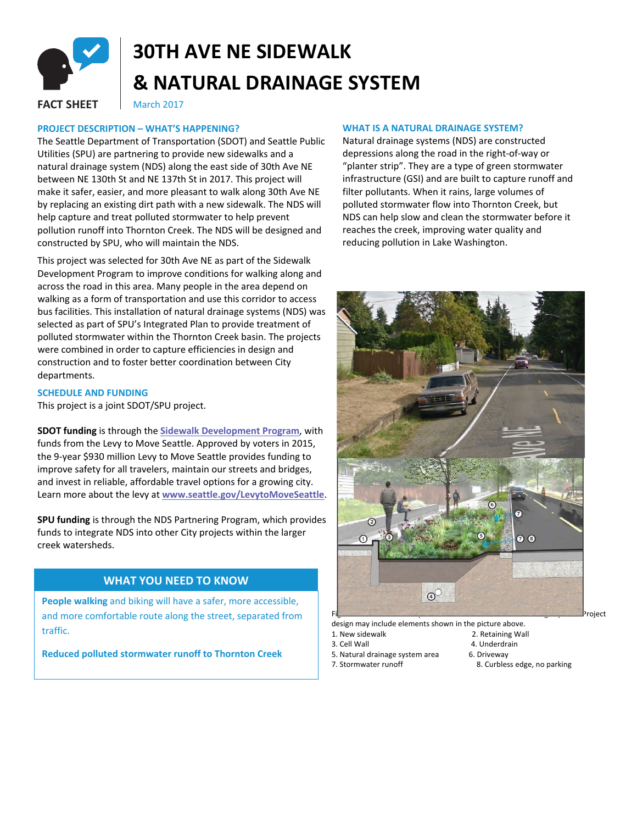

# **30TH AVE NE SIDEWALK & NATURAL DRAINAGE SYSTEM**

**FACT SHEET** March 2017

### **PROJECT DESCRIPTION – WHAT'S HAPPENING?**

The Seattle Department of Transportation (SDOT) and Seattle Public Utilities (SPU) are partnering to provide new sidewalks and a natural drainage system (NDS) along the east side of 30th Ave NE between NE 130th St and NE 137th St in 2017. This project will make it safer, easier, and more pleasant to walk along 30th Ave NE by replacing an existing dirt path with a new sidewalk. The NDS will help capture and treat polluted stormwater to help prevent pollution runoff into Thornton Creek. The NDS will be designed and constructed by SPU, who will maintain the NDS.

This project was selected for 30th Ave NE as part of the Sidewalk Development Program to improve conditions for walking along and across the road in this area. Many people in the area depend on walking as a form of transportation and use this corridor to access bus facilities. This installation of natural drainage systems (NDS) was selected as part of SPU's Integrated Plan to provide treatment of polluted stormwater within the Thornton Creek basin. The projects were combined in order to capture efficiencies in design and construction and to foster better coordination between City departments.

**SCHEDULE AND FUNDING**

This project is a joint SDOT/SPU project.

**SDOT funding** is through the **[Sidewalk Development Program](http://www.seattle.gov/transportation/sidewalks.htm)**, with funds from the Levy to Move Seattle. Approved by voters in 2015, the 9-year \$930 million Levy to Move Seattle provides funding to improve safety for all travelers, maintain our streets and bridges, and invest in reliable, affordable travel options for a growing city. Learn more about the levy at **[www.seattle.gov/LevytoMoveSeattle](http://www.seattle.gov/LevytoMoveSeattle)**.

**SPU funding** is through the NDS Partnering Program, which provides funds to integrate NDS into other City projects within the larger creek watersheds.

## **WHAT YOU NEED TO KNOW**

**People walking** and biking will have a safer, more accessible, and more comfortable route along the street, separated from traffic.

**Reduced polluted stormwater runoff to Thornton Creek**

#### **WHAT IS A NATURAL DRAINAGE SYSTEM?**

Natural drainage systems (NDS) are constructed depressions along the road in the right-of-way or "planter strip". They are a type of green stormwater infrastructure (GSI) and are built to capture runoff and filter pollutants. When it rains, large volumes of polluted stormwater flow into Thornton Creek, but NDS can help slow and clean the stormwater before it reaches the creek, improving water quality and reducing pollution in Lake Washington.



design may include elements shown in the picture above.

- 1. New sidewalk 2. Retaining Wall
- 3. Cell Wall 4. Underdrain
	-
- 5. Natural drainage system area 6. Driveway
- 7. Stormwater runoff 8. Curbless edge, no parking